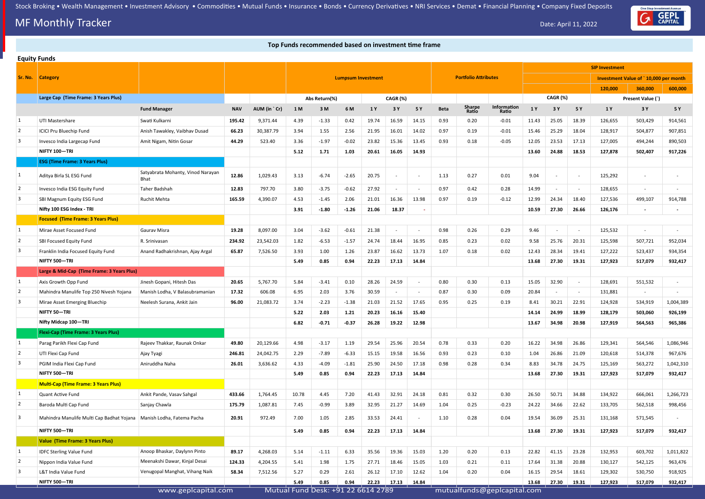## **MF Monthly Tracker** Date: April 11, 2022

#### **Top Funds recommended based on investment time frame Top Funds recommended based on investment time frame**

|                         | <b>Equity Funds</b>                         |                                           |            |              |       |                                            |                           |       |          |                          |             |                             |                             |       |          |        |                       |                                       |           |
|-------------------------|---------------------------------------------|-------------------------------------------|------------|--------------|-------|--------------------------------------------|---------------------------|-------|----------|--------------------------|-------------|-----------------------------|-----------------------------|-------|----------|--------|-----------------------|---------------------------------------|-----------|
|                         |                                             |                                           |            |              |       |                                            |                           |       |          |                          |             |                             |                             |       |          |        | <b>SIP Investment</b> |                                       |           |
| Sr. No.                 | <b>Category</b>                             |                                           |            |              |       |                                            | <b>Lumpsum Investment</b> |       |          |                          |             | <b>Portfolio Attributes</b> |                             |       |          |        |                       | Investment Value of `10,000 per month |           |
|                         |                                             |                                           |            |              |       |                                            |                           |       |          |                          |             |                             |                             |       |          |        | 120,000               | 360,000                               | 600,000   |
|                         | Large Cap (Time Frame: 3 Years Plus)        |                                           |            |              |       | Abs Return(%)                              |                           |       | CAGR (%) |                          |             |                             |                             |       | CAGR (%) |        |                       | Present Value (`)                     |           |
|                         |                                             | <b>Fund Manager</b>                       | <b>NAV</b> | AUM (in `Cr) | 1 M   | 3M                                         | 6 M                       | 1 Y   | 3 Y      | 5 Y                      | <b>Beta</b> | Sharpe<br>Ratio             | Information<br>Ratio        | 1 Y   | 3 Y      | 5 Y    | 1 Y                   | 3 Y                                   | 5 Y       |
| -1                      | UTI Mastershare                             | Swati Kulkarni                            | 195.42     | 9,371.44     | 4.39  | $-1.33$                                    | 0.42                      | 19.74 | 16.59    | 14.15                    | 0.93        | 0.20                        | $-0.01$                     | 11.43 | 25.05    | 18.39  | 126,655               | 503,429                               | 914,561   |
| 2                       | <b>ICICI Pru Bluechip Fund</b>              | Anish Tawakley, Vaibhav Dusad             | 66.23      | 30,387.79    | 3.94  | 1.55                                       | 2.56                      | 21.95 | 16.01    | 14.02                    | 0.97        | 0.19                        | $-0.01$                     | 15.46 | 25.29    | 18.04  | 128,917               | 504,877                               | 907,851   |
| $\overline{\mathbf{3}}$ | Invesco India Largecap Fund                 | Amit Nigam, Nitin Gosar                   | 44.29      | 523.40       | 3.36  | $-1.97$                                    | $-0.02$                   | 23.82 | 15.36    | 13.45                    | 0.93        | 0.18                        | $-0.05$                     | 12.05 | 23.53    | 17.13  | 127,005               | 494,244                               | 890,503   |
|                         | NIFTY 100-TRI                               |                                           |            |              | 5.12  | 1.71                                       | 1.03                      | 20.61 | 16.05    | 14.93                    |             |                             |                             | 13.60 | 24.88    | 18.53  | 127,878               | 502,407                               | 917,226   |
|                         | <b>ESG (Time Frame: 3 Years Plus)</b>       |                                           |            |              |       |                                            |                           |       |          |                          |             |                             |                             |       |          |        |                       |                                       |           |
|                         | Aditya Birla SL ESG Fund                    | Satyabrata Mohanty, Vinod Narayan<br>Bhat | 12.86      | 1,029.43     | 3.13  | $-6.74$                                    | $-2.65$                   | 20.75 |          | $\sim$                   | 1.13        | 0.27                        | 0.01                        | 9.04  |          | $\sim$ | 125,292               | $\sim$                                |           |
| 2                       | Invesco India ESG Equity Fund               | Taher Badshah                             | 12.83      | 797.70       | 3.80  | $-3.75$                                    | $-0.62$                   | 27.92 |          |                          | 0.97        | 0.42                        | 0.28                        | 14.99 |          |        | 128,655               |                                       |           |
| $\vert 3 \vert$         | SBI Magnum Equity ESG Fund                  | <b>Ruchit Mehta</b>                       | 165.59     | 4,390.07     | 4.53  | $-1.45$                                    | 2.06                      | 21.01 | 16.36    | 13.98                    | 0.97        | 0.19                        | $-0.12$                     | 12.99 | 24.34    | 18.40  | 127,536               | 499,107                               | 914,788   |
|                         | Nifty 100 ESG Index - TRI                   |                                           |            |              | 3.91  | $-1.80$                                    | $-1.26$                   | 21.06 | 18.37    |                          |             |                             |                             | 10.59 | 27.30    | 26.66  | 126,176               | $\overline{\phantom{a}}$              |           |
|                         | <b>Focused (Time Frame: 3 Years Plus)</b>   |                                           |            |              |       |                                            |                           |       |          |                          |             |                             |                             |       |          |        |                       |                                       |           |
| $\overline{1}$          | Mirae Asset Focused Fund                    | <b>Gaurav Misra</b>                       | 19.28      | 8,097.00     | 3.04  | $-3.62$                                    | $-0.61$                   | 21.38 | $\sim$   | $\sim$                   | 0.98        | 0.26                        | 0.29                        | 9.46  |          | $\sim$ | 125,532               | $\sim$                                |           |
| $\overline{2}$          | SBI Focused Equity Fund                     | R. Srinivasan                             | 234.92     | 23,542.03    | 1.82  | $-6.53$                                    | $-1.57$                   | 24.74 | 18.44    | 16.95                    | 0.85        | 0.23                        | 0.02                        | 9.58  | 25.76    | 20.31  | 125,598               | 507,721                               | 952,034   |
| 3                       | Franklin India Focused Equity Fund          | Anand Radhakrishnan, Ajay Argal           | 65.87      | 7,526.50     | 3.93  | 1.00                                       | 1.26                      | 23.87 | 16.62    | 13.73                    | 1.07        | 0.18                        | 0.02                        | 12.43 | 28.34    | 19.41  | 127,222               | 523,437                               | 934,354   |
|                         | NIFTY 500-TRI                               |                                           |            |              | 5.49  | 0.85                                       | 0.94                      | 22.23 | 17.13    | 14.84                    |             |                             |                             | 13.68 | 27.30    | 19.31  | 127,923               | 517,079                               | 932,417   |
|                         | Large & Mid-Cap (Time Frame: 3 Years Plus)  |                                           |            |              |       |                                            |                           |       |          |                          |             |                             |                             |       |          |        |                       |                                       |           |
| $\vert$ 1               | Axis Growth Opp Fund                        | Jinesh Gopani, Hitesh Das                 | 20.65      | 5,767.70     | 5.84  | $-3.41$                                    | 0.10                      | 28.26 | 24.59    | $\sim$                   | 0.80        | 0.30                        | 0.13                        | 15.05 | 32.90    | $\sim$ | 128,691               | 551,532                               |           |
| 2                       | Mahindra Manulife Top 250 Nivesh Yojana     | Manish Lodha, V Balasubramanian           | 17.32      | 606.08       | 6.95  | 2.03                                       | 3.76                      | 30.59 |          |                          | 0.87        | 0.30                        | 0.09                        | 20.84 |          |        | 131,881               | $\sim$                                |           |
| $\overline{\mathbf{3}}$ | Mirae Asset Emerging Bluechip               | Neelesh Surana, Ankit Jain                | 96.00      | 21,083.72    | 3.74  | $-2.23$                                    | $-1.38$                   | 21.03 | 21.52    | 17.65                    | 0.95        | 0.25                        | 0.19                        | 8.41  | 30.21    | 22.91  | 124,928               | 534,919                               | 1,004,389 |
|                         | NIFTY 50-TRI                                |                                           |            |              | 5.22  | 2.03                                       | 1.21                      | 20.23 | 16.16    | 15.40                    |             |                             |                             | 14.14 | 24.99    | 18.99  | 128,179               | 503,060                               | 926,199   |
|                         | Nifty Midcap 100-TRI                        |                                           |            |              | 6.82  | $-0.71$                                    | $-0.37$                   | 26.28 | 19.22    | 12.98                    |             |                             |                             | 13.67 | 34.98    | 20.98  | 127,919               | 564,563                               | 965,386   |
|                         | <b>Flexi-Cap (Time Frame: 3 Years Plus)</b> |                                           |            |              |       |                                            |                           |       |          |                          |             |                             |                             |       |          |        |                       |                                       |           |
| $\vert$ 1               | Parag Parikh Flexi Cap Fund                 | Rajeev Thakkar, Raunak Onkar              | 49.80      | 20,129.66    | 4.98  | $-3.17$                                    | 1.19                      | 29.54 | 25.96    | 20.54                    | 0.78        | 0.33                        | 0.20                        | 16.22 | 34.98    | 26.86  | 129,341               | 564,546                               | 1,086,946 |
| $\overline{2}$          | UTI Flexi Cap Fund                          | Ajay Tyagi                                | 246.81     | 24,042.75    | 2.29  | $-7.89$                                    | $-6.33$                   | 15.15 | 19.58    | 16.56                    | 0.93        | 0.23                        | 0.10                        | 1.04  | 26.86    | 21.09  | 120,618               | 514,378                               | 967,676   |
| $\vert 3 \vert$         | PGIM India Flexi Cap Fund                   | Aniruddha Naha                            | 26.01      | 3,636.62     | 4.33  | $-4.09$                                    | $-1.81$                   | 25.90 | 24.50    | 17.18                    | 0.98        | 0.28                        | 0.34                        | 8.83  | 34.78    | 24.75  | 125,169               | 563,272                               | 1,042,310 |
|                         | NIFTY 500-TRI                               |                                           |            |              | 5.49  | 0.85                                       | 0.94                      | 22.23 | 17.13    | 14.84                    |             |                             |                             | 13.68 | 27.30    | 19.31  | 127,923               | 517,079                               | 932,417   |
|                         | <b>Multi-Cap (Time Frame: 3 Years Plus)</b> |                                           |            |              |       |                                            |                           |       |          |                          |             |                             |                             |       |          |        |                       |                                       |           |
| $\vert$ 1               | Quant Active Fund                           | Ankit Pande, Vasav Sahgal                 | 433.66     | 1,764.45     | 10.78 | 4.45                                       | 7.20                      | 41.43 | 32.91    | 24.18                    | 0.81        | 0.32                        | 0.30                        | 26.50 | 50.71    | 34.88  | 134,922               | 666,061                               | 1,266,723 |
| 2                       | Baroda Multi Cap Fund                       | Sanjay Chawla                             | 175.79     | 1,087.81     | 7.45  | $-0.99$                                    | 3.89                      | 32.95 | 21.27    | 14.69                    | 1.04        | 0.25                        | $-0.23$                     | 24.22 | 34.66    | 22.62  | 133,705               | 562,518                               | 998,456   |
| 3                       | Mahindra Manulife Multi Cap Badhat Yojana   | Manish Lodha, Fatema Pacha                | 20.91      | 972.49       | 7.00  | 1.05                                       | 2.85                      | 33.53 | 24.41    | $\overline{\phantom{a}}$ | 1.10        | 0.28                        | 0.04                        | 19.54 | 36.09    | 25.31  | 131,168               | 571,545                               |           |
|                         | NIFTY 500-TRI                               |                                           |            |              | 5.49  | 0.85                                       | 0.94                      | 22.23 | 17.13    | 14.84                    |             |                             |                             | 13.68 | 27.30    | 19.31  | 127,923               | 517,079                               | 932,417   |
|                         | Value (Time Frame: 3 Years Plus)            |                                           |            |              |       |                                            |                           |       |          |                          |             |                             |                             |       |          |        |                       |                                       |           |
| $\vert$ 1               | <b>IDFC Sterling Value Fund</b>             | Anoop Bhaskar, Daylynn Pinto              | 89.17      | 4,268.03     | 5.14  | $-1.11$                                    | 6.33                      | 35.56 | 19.36    | 15.03                    | 1.20        | 0.20                        | 0.13                        | 22.82 | 41.15    | 23.28  | 132,953               | 603,702                               | 1,011,822 |
| $\overline{2}$          | Nippon India Value Fund                     | Meenakshi Dawar, Kinjal Desai             | 124.33     | 4,204.55     | 5.41  | 1.98                                       | 1.75                      | 27.71 | 18.46    | 15.05                    | 1.03        | 0.21                        | 0.11                        | 17.64 | 31.38    | 20.88  | 130,127               | 542,125                               | 963,476   |
| 3                       | L&T India Value Fund                        | Venugopal Manghat, Vihang Naik            | 58.34      | 7,512.56     | 5.27  | 0.29                                       | 2.61                      | 26.12 | 17.10    | 12.62                    | 1.04        | 0.20                        | 0.04                        | 16.15 | 29.54    | 18.61  | 129,302               | 530,750                               | 918,925   |
|                         | NIFTY 500-TRI                               | www.geplcapital.com                       |            |              | 5.49  | 0.85<br>Mutual Fund Desk: +91 22 6614 2789 | 0.94                      | 22.23 | 17.13    | 14.84                    |             |                             | mutualfunds@geplcapital.com | 13.68 | 27.30    | 19.31  | 127,923               | 517,079                               | 932,417   |
|                         |                                             |                                           |            |              |       |                                            |                           |       |          |                          |             |                             |                             |       |          |        |                       |                                       |           |

One Stop Investment Avenue<br>
CAPITAL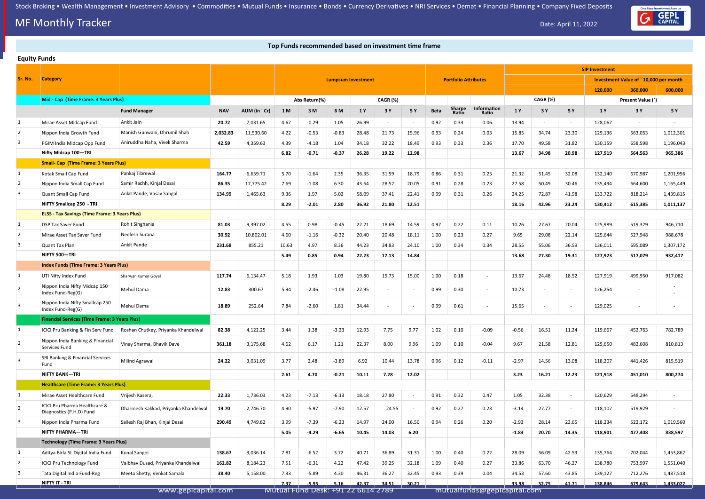# **MF Monthly Tracker** Date: April 11, 2022

#### **Top Funds recommended based on investment time frame**

|                | <b>Equity Funds</b>                                       |                                      |            |              |       |                                    |                           |       |          |       |      |                             |                             |         |                          |        |                       |                                       |                          |
|----------------|-----------------------------------------------------------|--------------------------------------|------------|--------------|-------|------------------------------------|---------------------------|-------|----------|-------|------|-----------------------------|-----------------------------|---------|--------------------------|--------|-----------------------|---------------------------------------|--------------------------|
|                |                                                           |                                      |            |              |       |                                    |                           |       |          |       |      |                             |                             |         |                          |        | <b>SIP Investment</b> |                                       |                          |
| Sr. No.        | <b>Category</b>                                           |                                      |            |              |       |                                    | <b>Lumpsum Investment</b> |       |          |       |      | <b>Portfolio Attributes</b> |                             |         |                          |        |                       | Investment Value of `10,000 per month |                          |
|                |                                                           |                                      |            |              |       |                                    |                           |       |          |       |      |                             |                             |         |                          |        | 120,000               | 360,000                               | 600,000                  |
|                | Mid - Cap (Time Frame: 3 Years Plus)                      |                                      |            |              |       | Abs Return(%)                      |                           |       | CAGR (%) |       |      |                             |                             |         | <b>CAGR (%)</b>          |        |                       | Present Value (`)                     |                          |
|                |                                                           | <b>Fund Manager</b>                  | <b>NAV</b> | AUM (in `Cr) | 1 M   | 3M                                 | 6 M                       | 1 Y   | 3 Y      | 5 Y   | Beta | Sharpe<br>Ratio             | Information<br>Ratio        | 1Y      | 3 Y                      | 5 Y    | 1 Y                   | 3 Y                                   | 5 Y                      |
| 1              | Mirae Asset Midcap Fund                                   | Ankit Jain                           | 20.72      | 7,031.65     | 4.67  | $-0.29$                            | 1.05                      | 26.99 | $\sim$   |       | 0.92 | 0.33                        | 0.06                        | 13.94   | $\overline{\phantom{a}}$ | $\sim$ | 128,067               | $\sim$                                | $\overline{\phantom{a}}$ |
| $\overline{2}$ | Nippon India Growth Fund                                  | Manish Gunwani, Dhrumil Shah         | 2,032.83   | 11,530.60    | 4.22  | $-0.53$                            | $-0.83$                   | 28.48 | 21.73    | 15.96 | 0.93 | 0.24                        | 0.03                        | 15.85   | 34.74                    | 23.30  | 129,136               | 563,053                               | 1,012,301                |
| 3              | PGIM India Midcap Opp Fund                                | Aniruddha Naha, Vivek Sharma         | 42.59      | 4,359.63     | 4.39  | $-4.18$                            | 1.04                      | 34.18 | 32.22    | 18.49 | 0.93 | 0.33                        | 0.36                        | 17.70   | 49.58                    | 31.82  | 130,159               | 658,598                               | 1,196,043                |
|                | Nifty Midcap 100-TRI                                      |                                      |            |              | 6.82  | $-0.71$                            | $-0.37$                   | 26.28 | 19.22    | 12.98 |      |                             |                             | 13.67   | 34.98                    | 20.98  | 127,919               | 564,563                               | 965,386                  |
|                | <b>Small- Cap (Time Frame: 3 Years Plus)</b>              |                                      |            |              |       |                                    |                           |       |          |       |      |                             |                             |         |                          |        |                       |                                       |                          |
| $\mathbf{1}$   | Kotak Small Cap Fund                                      | Pankaj Tibrewal                      | 164.77     | 6,659.71     | 5.70  | $-1.64$                            | 2.35                      | 36.35 | 31.59    | 18.79 | 0.86 | 0.31                        | 0.25                        | 21.32   | 51.45                    | 32.08  | 132,140               | 670,987                               | 1,201,956                |
| $\overline{2}$ | Nippon India Small Cap Fund                               | Samir Rachh, Kinjal Desai            | 86.35      | 17,775.42    | 7.69  | $-1.08$                            | 6.30                      | 43.64 | 28.52    | 20.05 | 0.91 | 0.28                        | 0.23                        | 27.58   | 50.49                    | 30.46  | 135,494               | 664,600                               | 1,165,449                |
| 3              | Quant Small Cap Fund                                      | Ankit Pande, Vasav Sahgal            | 134.99     | 1,465.63     | 9.36  | 1.97                               | 5.02                      | 58.09 | 37.41    | 22.41 | 0.99 | 0.31                        | 0.26                        | 24.25   | 72.87                    | 41.98  | 133,722               | 818,214                               | 1,439,815                |
|                | NIFTY Smallcap 250 - TRI                                  |                                      |            |              | 8.29  | $-2.01$                            | 2.80                      | 36.92 | 21.80    | 12.51 |      |                             |                             | 18.16   | 42.96                    | 23.24  | 130,412               | 615,385                               | 1,011,137                |
|                | <b>ELSS - Tax Savings (Time Frame: 3 Years Plus)</b>      |                                      |            |              |       |                                    |                           |       |          |       |      |                             |                             |         |                          |        |                       |                                       |                          |
| $\vert$ 1      | <b>DSP Tax Saver Fund</b>                                 | Rohit Singhania                      | 81.03      | 9,397.02     | 4.55  | 0.98                               | $-0.45$                   | 22.21 | 18.69    | 14.59 | 0.97 | 0.22                        | 0.11                        | 10.26   | 27.67                    | 20.04  | 125,989               | 519,329                               | 946,710                  |
| $\overline{2}$ | Mirae Asset Tax Saver Fund                                | Neelesh Surana                       | 30.92      | 10,802.01    | 4.60  | $-1.16$                            | $-0.32$                   | 20.40 | 20.48    | 18.11 | 1.00 | 0.23                        | 0.27                        | 9.65    | 29.08                    | 22.14  | 125,644               | 527,948                               | 988,678                  |
| 3              | Quant Tax Plan                                            | Ankit Pande                          | 231.68     | 855.21       | 10.63 | 4.97                               | 8.36                      | 44.23 | 34.83    | 24.10 | 1.00 | 0.34                        | 0.34                        | 28.55   | 55.06                    | 36.59  | 136,011               | 695,089                               | 1,307,172                |
|                | NIFTY 500-TRI                                             |                                      |            |              | 5.49  | 0.85                               | 0.94                      | 22.23 | 17.13    | 14.84 |      |                             |                             | 13.68   | 27.30                    | 19.31  | 127,923               | 517,079                               | 932,417                  |
|                | <b>Index Funds (Time Frame: 3 Years Plus)</b>             |                                      |            |              |       |                                    |                           |       |          |       |      |                             |                             |         |                          |        |                       |                                       |                          |
| 1              | UTI Nifty Index Fund                                      | Sharwan Kumar Goyal                  | 117.74     | 6,134.47     | 5.18  | 1.93                               | 1.03                      | 19.80 | 15.73    | 15.00 | 1.00 | 0.18                        | $\sim$                      | 13.67   | 24.48                    | 18.52  | 127,919               | 499,950                               | 917,082                  |
| 2              | Nippon India Nifty Midcap 150<br>Index Fund-Reg(G)        | Mehul Dama                           | 12.83      | 300.67       | 5.94  | $-2.46$                            | $-1.08$                   | 22.95 | $\sim$   |       | 0.99 | 0.30                        | $\sim$                      | 10.73   | $\overline{\phantom{a}}$ | $\sim$ | 126,254               | $\sim$                                |                          |
| $\overline{3}$ | Nippon India Nifty Smallcap 250<br>Index Fund-Reg(G)      | Mehul Dama                           | 18.89      | 252.64       | 7.84  | $-2.60$                            | 1.81                      | 34.44 |          |       | 0.99 | 0.61                        | $\sim$                      | 15.65   | $\sim$                   | $\sim$ | 129,025               | $\sim$                                |                          |
|                | <b>Financial Services (Time Frame: 3 Years Plus)</b>      |                                      |            |              |       |                                    |                           |       |          |       |      |                             |                             |         |                          |        |                       |                                       |                          |
| 1              | ICICI Pru Banking & Fin Serv Fund                         | Roshan Chutkey, Priyanka Khandelwal  | 82.38      | 4,122.25     | 3.44  | 1.38                               | $-3.23$                   | 12.93 | 7.75     | 9.77  | 1.02 | 0.10                        | $-0.09$                     | $-0.56$ | 16.51                    | 11.24  | 119,667               | 452,763                               | 782,789                  |
| $\overline{2}$ | Nippon India Banking & Financial<br>Services Fund         | Vinay Sharma, Bhavik Dave            | 361.18     | 3,175.68     | 4.62  | 6.17                               | 1.21                      | 22.37 | 8.00     | 9.96  | 1.09 | 0.10                        | $-0.04$                     | 9.67    | 21.58                    | 12.81  | 125,650               | 482,608                               | 810,813                  |
| $\overline{3}$ | SBI Banking & Financial Services<br>Fund                  | <b>Milind Agrawal</b>                | 24.22      | 3,031.09     | 3.77  | 2.48                               | $-3.89$                   | 6.92  | 10.44    | 13.78 | 0.96 | 0.12                        | $-0.11$                     | $-2.97$ | 14.56                    | 13.08  | 118,207               | 441,426                               | 815,519                  |
|                | <b>NIFTY BANK-TRI</b>                                     |                                      |            |              | 2.61  | 4.70                               | $-0.21$                   | 10.11 | 7.28     | 12.02 |      |                             |                             | 3.23    | 16.21                    | 12.23  | 121,918               | 451,010                               | 800,274                  |
|                | <b>Healthcare (Time Frame: 3 Years Plus)</b>              |                                      |            |              |       |                                    |                           |       |          |       |      |                             |                             |         |                          |        |                       |                                       |                          |
| $\mathbf{1}$   | Mirae Asset Healthcare Fund                               | Vrijesh Kasera,                      | 22.33      | 1,736.03     | 4.23  | $-7.13$                            | $-6.13$                   | 18.18 | 27.80    |       | 0.91 | 0.32                        | 0.47                        | 1.05    | 32.38                    | $\sim$ | 120,629               | 548,294                               |                          |
| $\overline{2}$ | ICICI Pru Pharma Healthcare &<br>Diagnostics (P.H.D) Fund | Dharmesh Kakkad, Priyanka Khandelwal | 19.70      | 2,746.70     | 4.90  | $-5.97$                            | $-7.90$                   | 12.57 | 24.55    |       | 0.92 | 0.27                        | 0.23                        | $-3.14$ | 27.77                    | $\sim$ | 118,107               | 519,929                               |                          |
| 3              | Nippon India Pharma Fund                                  | Sailesh Raj Bhan, Kinjal Desai       | 290.49     | 4,749.82     | 3.99  | $-7.39$                            | $-6.23$                   | 14.97 | 24.00    | 16.50 | 0.94 | 0.26                        | 0.20                        | $-2.93$ | 28.14                    | 23.65  | 118,234               | 522,172                               | 1,019,560                |
|                | <b>NIFTY PHARMA-TRI</b>                                   |                                      |            |              | 5.05  | $-4.29$                            | $-6.65$                   | 10.45 | 14.03    | 6.20  |      |                             |                             | $-1.83$ | 20.70                    | 14.35  | 118,901               | 477,408                               | 838,597                  |
|                | <b>Technology (Time Frame: 3 Years Plus)</b>              |                                      |            |              |       |                                    |                           |       |          |       |      |                             |                             |         |                          |        |                       |                                       |                          |
| $\mathbf{1}$   | Aditya Birla SL Digital India Fund                        | Kunal Sangoi                         | 138.67     | 3,036.14     | 7.81  | $-6.52$                            | 3.72                      | 40.71 | 36.89    | 31.31 | 1.00 | 0.40                        | 0.22                        | 28.09   | 56.09                    | 42.53  | 135,764               | 702,044                               | 1,453,862                |
| $\overline{2}$ | <b>ICICI Pru Technology Fund</b>                          | Vaibhav Dusad, Priyanka Khandelwal   | 162.82     | 8,184.23     | 7.51  | $-6.31$                            | 4.22                      | 47.42 | 39.25    | 32.18 | 1.09 | 0.40                        | 0.27                        | 33.86   | 63.70                    | 46.27  | 138,780               | 753,997                               | 1,551,040                |
| 3              | Tata Digital India Fund-Reg                               | Meeta Shetty, Venkat Samala          | 38.40      | 5,158.00     | 7.33  | $-5.89$                            | 4.30                      | 46.31 | 36.27    | 32.45 | 0.93 | 0.39                        | 0.04                        | 34.53   | 57.60                    | 43.85  | 139,127               | 712,276                               | 1,487,518                |
|                | <u>NIFTY IT - TRI</u>                                     |                                      |            |              | 7.37  | $-5.95$                            | 5.16                      | 42.37 | 34.51    | 30.21 |      |                             |                             | 33.98   | 52.75                    | 41.71  | 138,846               | 679,643                               | 1,433,022                |
|                |                                                           | www.geplcapital.com                  |            |              |       | Mutual Fund Desk: +91 22 6614 2789 |                           |       |          |       |      |                             | mutualfunds@geplcapital.com |         |                          |        |                       |                                       |                          |

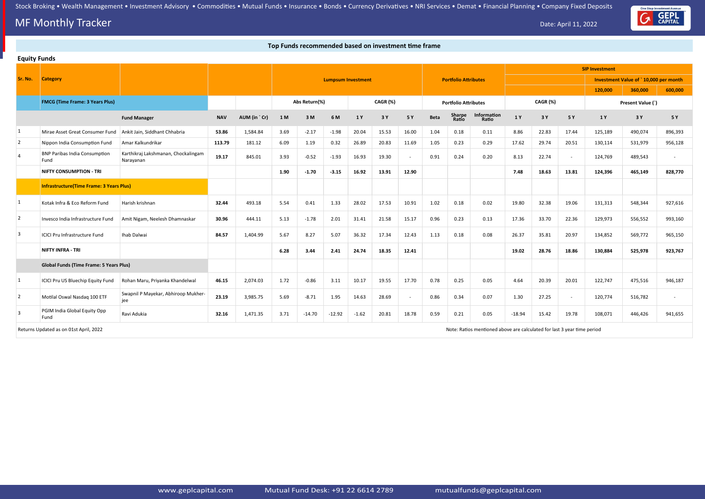## **MF Monthly Tracker** Date: April 11, 2022

### **Top Funds recommended based on investment time frame**



| <b>Equity Funds</b> |                                                 |                                                  |            |              |      |               |                           |         |          |        |             |                             |                                                                         |          |          |        |                       |                                       |         |
|---------------------|-------------------------------------------------|--------------------------------------------------|------------|--------------|------|---------------|---------------------------|---------|----------|--------|-------------|-----------------------------|-------------------------------------------------------------------------|----------|----------|--------|-----------------------|---------------------------------------|---------|
|                     |                                                 |                                                  |            |              |      |               |                           |         |          |        |             |                             |                                                                         |          |          |        | <b>SIP Investment</b> |                                       |         |
| Sr. No.             | <b>Category</b>                                 |                                                  |            |              |      |               | <b>Lumpsum Investment</b> |         |          |        |             | <b>Portfolio Attributes</b> |                                                                         |          |          |        |                       | Investment Value of `10,000 per month |         |
|                     |                                                 |                                                  |            |              |      |               |                           |         |          |        |             |                             |                                                                         |          |          |        | 120,000               | 360,000                               | 600,000 |
|                     | <b>FMCG (Time Frame: 3 Years Plus)</b>          |                                                  |            |              |      | Abs Return(%) |                           |         | CAGR (%) |        |             | <b>Portfolio Attributes</b> |                                                                         |          | CAGR (%) |        |                       | Present Value (`)                     |         |
|                     |                                                 | <b>Fund Manager</b>                              | <b>NAV</b> | AUM (in `Cr) | 1 M  | 3M            | 6 M                       | 1 Y     | 3 Y      | 5 Y    | <b>Beta</b> | <b>Sharpe</b><br>Ratio      | Information<br>Ratio                                                    | 1 Y      | 3 Y      | 5 Y    | 1 Y                   | 3 Y                                   | 5 Y     |
| 1                   | Mirae Asset Great Consumer Fund                 | Ankit Jain, Siddhant Chhabria                    | 53.86      | 1,584.84     | 3.69 | $-2.17$       | $-1.98$                   | 20.04   | 15.53    | 16.00  | 1.04        | 0.18                        | 0.11                                                                    | 8.86     | 22.83    | 17.44  | 125,189               | 490,074                               | 896,393 |
| $\overline{2}$      | Nippon India Consumption Fund                   | Amar Kalkundrikar                                | 113.79     | 181.12       | 6.09 | 1.19          | 0.32                      | 26.89   | 20.83    | 11.69  | 1.05        | 0.23                        | 0.29                                                                    | 17.62    | 29.74    | 20.51  | 130,114               | 531,979                               | 956,128 |
| $\overline{4}$      | <b>BNP Paribas India Consumption</b><br>Fund    | Karthikraj Lakshmanan, Chockalingam<br>Narayanan | 19.17      | 845.01       | 3.93 | $-0.52$       | $-1.93$                   | 16.93   | 19.30    |        | 0.91        | 0.24                        | 0.20                                                                    | 8.13     | 22.74    | $\sim$ | 124,769               | 489,543                               |         |
|                     | <b>NIFTY CONSUMPTION - TRI</b>                  |                                                  |            |              | 1.90 | $-1.70$       | $-3.15$                   | 16.92   | 13.91    | 12.90  |             |                             |                                                                         | 7.48     | 18.63    | 13.81  | 124,396               | 465,149                               | 828,770 |
|                     | <b>Infrastructure(Time Frame: 3 Years Plus)</b> |                                                  |            |              |      |               |                           |         |          |        |             |                             |                                                                         |          |          |        |                       |                                       |         |
| 1                   | Kotak Infra & Eco Reform Fund                   | Harish krishnan                                  | 32.44      | 493.18       | 5.54 | 0.41          | 1.33                      | 28.02   | 17.53    | 10.91  | 1.02        | 0.18                        | 0.02                                                                    | 19.80    | 32.38    | 19.06  | 131,313               | 548,344                               | 927,616 |
| $\overline{2}$      | Invesco India Infrastructure Fund               | Amit Nigam, Neelesh Dhamnaskar                   | 30.96      | 444.11       | 5.13 | $-1.78$       | 2.01                      | 31.41   | 21.58    | 15.17  | 0.96        | 0.23                        | 0.13                                                                    | 17.36    | 33.70    | 22.36  | 129,973               | 556,552                               | 993,160 |
| $\overline{3}$      | <b>ICICI Pru Infrastructure Fund</b>            | Ihab Dalwai                                      | 84.57      | 1,404.99     | 5.67 | 8.27          | 5.07                      | 36.32   | 17.34    | 12.43  | 1.13        | 0.18                        | 0.08                                                                    | 26.37    | 35.81    | 20.97  | 134,852               | 569,772                               | 965,150 |
|                     | <b>NIFTY INFRA - TRI</b>                        |                                                  |            |              | 6.28 | 3.44          | 2.41                      | 24.74   | 18.35    | 12.41  |             |                             |                                                                         | 19.02    | 28.76    | 18.86  | 130,884               | 525,978                               | 923,767 |
|                     | <b>Global Funds (Time Frame: 5 Years Plus)</b>  |                                                  |            |              |      |               |                           |         |          |        |             |                             |                                                                         |          |          |        |                       |                                       |         |
| 1                   | ICICI Pru US Bluechip Equity Fund               | Rohan Maru, Priyanka Khandelwal                  | 46.15      | 2,074.03     | 1.72 | $-0.86$       | 3.11                      | 10.17   | 19.55    | 17.70  | 0.78        | 0.25                        | 0.05                                                                    | 4.64     | 20.39    | 20.01  | 122,747               | 475,516                               | 946,187 |
| $\vert$ 2           | Motilal Oswal Nasdaq 100 ETF                    | Swapnil P Mayekar, Abhiroop Mukher-<br>jee       | 23.19      | 3,985.75     | 5.69 | $-8.71$       | 1.95                      | 14.63   | 28.69    | $\sim$ | 0.86        | 0.34                        | 0.07                                                                    | 1.30     | 27.25    | $\sim$ | 120,774               | 516,782                               | $\sim$  |
| $\overline{3}$      | PGIM India Global Equity Opp<br>Fund            | Ravi Adukia                                      | 32.16      | 1,471.35     | 3.71 | $-14.70$      | $-12.92$                  | $-1.62$ | 20.81    | 18.78  | 0.59        | 0.21                        | 0.05                                                                    | $-18.94$ | 15.42    | 19.78  | 108,071               | 446,426                               | 941,655 |
|                     | Returns Updated as on 01st April, 2022          |                                                  |            |              |      |               |                           |         |          |        |             |                             | Note: Ratios mentioned above are calculated for last 3 year time period |          |          |        |                       |                                       |         |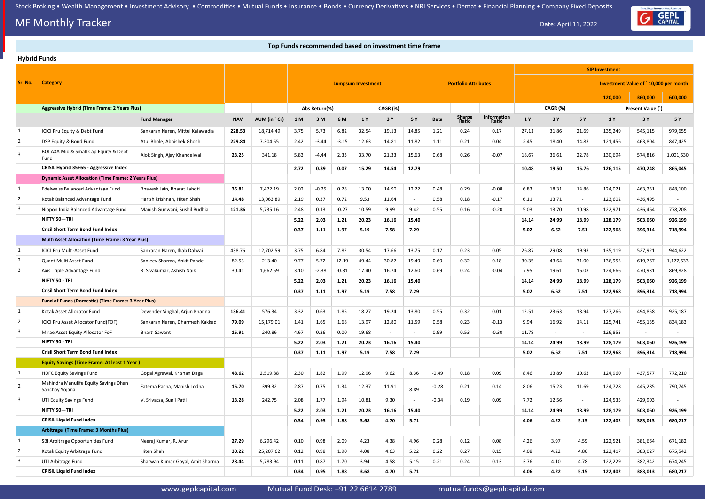## **MF Monthly Tracker** Date: April 11, 2022

#### **Top Funds recommended based on investment time frame**

#### **Hybrid Funds**

|                         |                                                            |                                  |            |              |                                                          |               |         |       |          |       |             |                 |                      |       | <b>SIP Investment</b>                 |                          |         |                   |           |
|-------------------------|------------------------------------------------------------|----------------------------------|------------|--------------|----------------------------------------------------------|---------------|---------|-------|----------|-------|-------------|-----------------|----------------------|-------|---------------------------------------|--------------------------|---------|-------------------|-----------|
| Sr. No.                 | <b>Category</b>                                            |                                  |            |              | <b>Portfolio Attributes</b><br><b>Lumpsum Investment</b> |               |         |       |          |       |             |                 |                      |       | Investment Value of `10,000 per month |                          |         |                   |           |
|                         |                                                            |                                  |            |              |                                                          |               |         |       |          |       |             |                 |                      |       |                                       |                          | 120,000 | 360,000           | 600,000   |
|                         | <b>Aggressive Hybrid (Time Frame: 2 Years Plus)</b>        |                                  |            |              |                                                          | Abs Return(%) |         |       | CAGR (%) |       |             |                 |                      |       | CAGR (%)                              |                          |         | Present Value (`) |           |
|                         |                                                            | <b>Fund Manager</b>              | <b>NAV</b> | AUM (in `Cr) | 1 M                                                      | 3M            | 6 M     | 1 Y   | 3 Y      | 5 Y   | <b>Beta</b> | Sharpe<br>Ratio | Information<br>Ratio | 1 Y   | 3 Y                                   | 5 Y                      | 1 Y     | 3 Y               | 5 Y       |
|                         | ICICI Pru Equity & Debt Fund                               | Sankaran Naren, Mittul Kalawadia | 228.53     | 18,714.49    | 3.75                                                     | 5.73          | 6.82    | 32.54 | 19.13    | 14.85 | 1.21        | 0.24            | 0.17                 | 27.11 | 31.86                                 | 21.69                    | 135,249 | 545,115           | 979,655   |
| $\overline{2}$          | DSP Equity & Bond Fund                                     | Atul Bhole, Abhishek Ghosh       | 229.84     | 7,304.55     | 2.42                                                     | $-3.44$       | $-3.15$ | 12.63 | 14.81    | 11.82 | 1.11        | 0.21            | 0.04                 | 2.45  | 18.40                                 | 14.83                    | 121,456 | 463,804           | 847,425   |
| 3                       | BOI AXA Mid & Small Cap Equity & Debt<br>Fund              | Alok Singh, Ajay Khandelwal      | 23.25      | 341.18       | 5.83                                                     | -4.44         | 2.33    | 33.70 | 21.33    | 15.63 | 0.68        | 0.26            | $-0.07$              | 18.67 | 36.61                                 | 22.78                    | 130,694 | 574,816           | 1,001,630 |
|                         | CRISIL Hybrid 35+65 - Aggressive Index                     |                                  |            |              | 2.72                                                     | 0.39          | 0.07    | 15.29 | 14.54    | 12.79 |             |                 |                      | 10.48 | 19.50                                 | 15.76                    | 126,115 | 470,248           | 865,045   |
|                         | <b>Dynamic Asset Allocation (Time Frame: 2 Years Plus)</b> |                                  |            |              |                                                          |               |         |       |          |       |             |                 |                      |       |                                       |                          |         |                   |           |
|                         | Edelweiss Balanced Advantage Fund                          | Bhavesh Jain, Bharat Lahoti      | 35.81      | 7,472.19     | 2.02                                                     | $-0.25$       | 0.28    | 13.00 | 14.90    | 12.22 | 0.48        | 0.29            | $-0.08$              | 6.83  | 18.31                                 | 14.86                    | 124,021 | 463,251           | 848,100   |
| $\overline{2}$          | Kotak Balanced Advantage Fund                              | Harish krishnan, Hiten Shah      | 14.48      | 13,063.89    | 2.19                                                     | 0.37          | 0.72    | 9.53  | 11.64    |       | 0.58        | 0.18            | $-0.17$              | 6.11  | 13.71                                 | $\overline{\phantom{a}}$ | 123,602 | 436,495           |           |
| 3                       | Nippon India Balanced Advantage Fund                       | Manish Gunwani, Sushil Budhia    | 121.36     | 5,735.16     | 2.48                                                     | 0.13          | $-0.27$ | 10.59 | 9.99     | 9.42  | 0.55        | 0.16            | $-0.20$              | 5.03  | 13.70                                 | 10.98                    | 122,971 | 436,464           | 778,208   |
|                         | NIFTY 50-TRI                                               |                                  |            |              | 5.22                                                     | 2.03          | 1.21    | 20.23 | 16.16    | 15.40 |             |                 |                      | 14.14 | 24.99                                 | 18.99                    | 128,179 | 503,060           | 926,199   |
|                         | <b>Crisil Short Term Bond Fund Index</b>                   |                                  |            |              | 0.37                                                     | 1.11          | 1.97    | 5.19  | 7.58     | 7.29  |             |                 |                      | 5.02  | 6.62                                  | 7.51                     | 122,968 | 396,314           | 718,994   |
|                         | <b>Multi Asset Allocation (Time Frame: 3 Year Plus)</b>    |                                  |            |              |                                                          |               |         |       |          |       |             |                 |                      |       |                                       |                          |         |                   |           |
| $\vert$ 1               | ICICI Pru Multi-Asset Fund                                 | Sankaran Naren, Ihab Dalwai      | 438.76     | 12,702.59    | 3.75                                                     | 6.84          | 7.82    | 30.54 | 17.66    | 13.75 | 0.17        | 0.23            | 0.05                 | 26.87 | 29.08                                 | 19.93                    | 135,119 | 527,921           | 944,622   |
| $\overline{2}$          | Quant Multi Asset Fund                                     | Sanjeev Sharma, Ankit Pande      | 82.53      | 213.40       | 9.77                                                     | 5.72          | 12.19   | 49.44 | 30.87    | 19.49 | 0.69        | 0.32            | 0.18                 | 30.35 | 43.64                                 | 31.00                    | 136,955 | 619,767           | 1,177,633 |
| 3                       | Axis Triple Advantage Fund                                 | R. Sivakumar, Ashish Naik        | 30.41      | 1,662.59     | 3.10                                                     | $-2.38$       | $-0.31$ | 17.40 | 16.74    | 12.60 | 0.69        | 0.24            | $-0.04$              | 7.95  | 19.61                                 | 16.03                    | 124,666 | 470,931           | 869,828   |
|                         | NIFTY 50 - TRI                                             |                                  |            |              | 5.22                                                     | 2.03          | 1.21    | 20.23 | 16.16    | 15.40 |             |                 |                      | 14.14 | 24.99                                 | 18.99                    | 128,179 | 503,060           | 926,199   |
|                         | <b>Crisil Short Term Bond Fund Index</b>                   |                                  |            |              | 0.37                                                     | 1.11          | 1.97    | 5.19  | 7.58     | 7.29  |             |                 |                      | 5.02  | 6.62                                  | 7.51                     | 122,968 | 396,314           | 718,994   |
|                         | Fund of Funds (Domestic) (Time Frame: 3 Year Plus)         |                                  |            |              |                                                          |               |         |       |          |       |             |                 |                      |       |                                       |                          |         |                   |           |
|                         | Kotak Asset Allocator Fund                                 | Devender Singhal, Arjun Khanna   | 136.41     | 576.34       | 3.32                                                     | 0.63          | 1.85    | 18.27 | 19.24    | 13.80 | 0.55        | 0.32            | 0.01                 | 12.51 | 23.63                                 | 18.94                    | 127,266 | 494,858           | 925,187   |
| $\overline{2}$          | ICICI Pru Asset Allocator Fund(FOF)                        | Sankaran Naren, Dharmesh Kakkad  | 79.09      | 15,179.01    | 1.41                                                     | 1.65          | 1.68    | 13.97 | 12.80    | 11.59 | 0.58        | 0.23            | $-0.13$              | 9.94  | 16.92                                 | 14.11                    | 125,741 | 455,135           | 834,183   |
|                         | Mirae Asset Equity Allocator FoF                           | <b>Bharti Sawant</b>             | 15.91      | 240.86       | 4.67                                                     | 0.26          | 0.00    | 19.68 | $\sim$   |       | 0.99        | 0.53            | $-0.30$              | 11.78 | $\sim$                                |                          | 126,853 | $\sim$            |           |
|                         | NIFTY 50 - TRI                                             |                                  |            |              | 5.22                                                     | 2.03          | 1.21    | 20.23 | 16.16    | 15.40 |             |                 |                      | 14.14 | 24.99                                 | 18.99                    | 128,179 | 503,060           | 926,199   |
|                         | <b>Crisil Short Term Bond Fund Index</b>                   |                                  |            |              | 0.37                                                     | 1.11          | 1.97    | 5.19  | 7.58     | 7.29  |             |                 |                      | 5.02  | 6.62                                  | 7.51                     | 122,968 | 396,314           | 718,994   |
|                         | <b>Equity Savings (Time Frame: At least 1 Year)</b>        |                                  |            |              |                                                          |               |         |       |          |       |             |                 |                      |       |                                       |                          |         |                   |           |
|                         | <b>HDFC Equity Savings Fund</b>                            | Gopal Agrawal, Krishan Daga      | 48.62      | 2,519.88     | 2.30                                                     | 1.82          | 1.99    | 12.96 | 9.62     | 8.36  | $-0.49$     | 0.18            | 0.09                 | 8.46  | 13.89                                 | 10.63                    | 124,960 | 437,577           | 772,210   |
| $\sqrt{2}$              | Mahindra Manulife Equity Savings Dhan<br>Sanchay Yojana    | Fatema Pacha, Manish Lodha       | 15.70      | 399.32       | 2.87                                                     | 0.75          | 1.34    | 12.37 | 11.91    | 8.89  | $-0.28$     | 0.21            | 0.14                 | 8.06  | 15.23                                 | 11.69                    | 124,728 | 445,285           | 790,745   |
| $\overline{\mathbf{3}}$ | UTI Equity Savings Fund                                    | V. Srivatsa, Sunil Patil         | 13.28      | 242.75       | 2.08                                                     | 1.77          | 1.94    | 10.81 | 9.30     |       | $-0.34$     | 0.19            | 0.09                 | 7.72  | 12.56                                 | $\sim$                   | 124,535 | 429,903           |           |
|                         | NIFTY 50-TRI                                               |                                  |            |              | 5.22                                                     | 2.03          | 1.21    | 20.23 | 16.16    | 15.40 |             |                 |                      | 14.14 | 24.99                                 | 18.99                    | 128,179 | 503,060           | 926,199   |
|                         | <b>CRISIL Liquid Fund Index</b>                            |                                  |            |              | 0.34                                                     | 0.95          | 1.88    | 3.68  | 4.70     | 5.71  |             |                 |                      | 4.06  | 4.22                                  | 5.15                     | 122,402 | 383,013           | 680,217   |
|                         | Arbitrage (Time Frame: 3 Months Plus)                      |                                  |            |              |                                                          |               |         |       |          |       |             |                 |                      |       |                                       |                          |         |                   |           |
|                         | SBI Arbitrage Opportunities Fund                           | Neeraj Kumar, R. Arun            | 27.29      | 6,296.42     | 0.10                                                     | 0.98          | 2.09    | 4.23  | 4.38     | 4.96  | 0.28        | 0.12            | 0.08                 | 4.26  | 3.97                                  | 4.59                     | 122,521 | 381,664           | 671,182   |
| $\overline{2}$          | Kotak Equity Arbitrage Fund                                | Hiten Shah                       | 30.22      | 25,207.62    | 0.12                                                     | 0.98          | 1.90    | 4.08  | 4.63     | 5.22  | 0.22        | 0.27            | 0.15                 | 4.08  | 4.22                                  | 4.86                     | 122,417 | 383,027           | 675,542   |
| $\overline{\mathbf{3}}$ | UTI Arbitrage Fund                                         | Sharwan Kumar Goyal, Amit Sharma | 28.44      | 5,783.94     | 0.11                                                     | 0.87          | 1.70    | 3.94  | 4.58     | 5.15  | 0.21        | 0.24            | 0.13                 | 3.76  | 4.10                                  | 4.78                     | 122,229 | 382,342           | 674,245   |
|                         | <b>CRISIL Liquid Fund Index</b>                            |                                  |            |              | 0.34                                                     | 0.95          | 1.88    | 3.68  | 4.70     | 5.71  |             |                 |                      | 4.06  | 4.22                                  | 5.15                     | 122,402 | 383,013           | 680,217   |

www.geplcapital.com Mutual Fund Desk: +91 22 6614 2789 mutualfunds@geplcapital.com

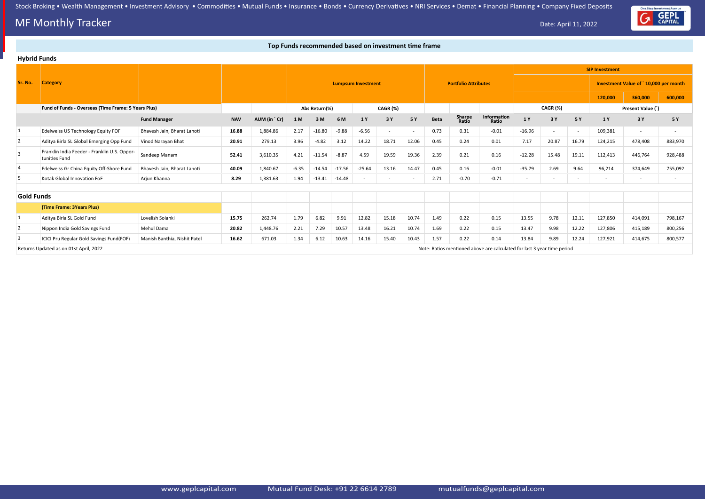## **MF Monthly Tracker** Date: April 11, 2022

#### **Top Funds recommended based on investment time frame**

|                   | <b>Hybrid Funds</b>                                           |                              |            |              |         |               |          |                           |                          |       |             |                             |                                                                         |          |          |            |                       |                                       |         |
|-------------------|---------------------------------------------------------------|------------------------------|------------|--------------|---------|---------------|----------|---------------------------|--------------------------|-------|-------------|-----------------------------|-------------------------------------------------------------------------|----------|----------|------------|-----------------------|---------------------------------------|---------|
|                   |                                                               |                              |            |              |         |               |          |                           |                          |       |             |                             |                                                                         |          |          |            | <b>SIP Investment</b> |                                       |         |
| Sr. No.           | <b>Category</b>                                               |                              |            |              |         |               |          | <b>Lumpsum Investment</b> |                          |       |             | <b>Portfolio Attributes</b> |                                                                         |          |          |            |                       | Investment Value of `10,000 per month |         |
|                   |                                                               |                              |            |              |         |               |          |                           |                          |       |             |                             |                                                                         |          |          |            | 120,000               | 360,000                               | 600,000 |
|                   | Fund of Funds - Overseas (Time Frame: 5 Years Plus)           |                              |            |              |         | Abs Return(%) |          |                           | CAGR (%)                 |       |             |                             |                                                                         |          | CAGR (%) |            |                       | Present Value (`)                     |         |
|                   |                                                               | <b>Fund Manager</b>          | <b>NAV</b> | AUM (in `Cr) | 1 M     | 3M            | 6 M      | 1 Y                       | 3 Y                      | 5 Y   | <b>Beta</b> | Sharpe<br>Ratio             | Information<br>Ratio                                                    | 1Y       | 3 Y      | <b>5 Y</b> | 1Y                    | 3 Y                                   | 5 Y     |
| $\mathbf{1}$      | Edelweiss US Technology Equity FOF                            | Bhavesh Jain, Bharat Lahoti  | 16.88      | 1,884.86     | 2.17    | $-16.80$      | $-9.88$  | $-6.56$                   | $\sim$                   |       | 0.73        | 0.31                        | $-0.01$                                                                 | $-16.96$ | $\sim$   |            | 109,381               | $\sim$                                |         |
| $\overline{2}$    | Aditya Birla SL Global Emerging Opp Fund                      | Vinod Narayan Bhat           | 20.91      | 279.13       | 3.96    | $-4.82$       | 3.12     | 14.22                     | 18.71                    | 12.06 | 0.45        | 0.24                        | 0.01                                                                    | 7.17     | 20.87    | 16.79      | 124,215               | 478,408                               | 883,970 |
| $\overline{3}$    | Franklin India Feeder - Franklin U.S. Oppor-<br>tunities Fund | Sandeep Manam                | 52.41      | 3,610.35     | 4.21    | $-11.54$      | $-8.87$  | 4.59                      | 19.59                    | 19.36 | 2.39        | 0.21                        | 0.16                                                                    | $-12.28$ | 15.48    | 19.11      | 112,413               | 446,764                               | 928,488 |
| 4                 | Edelweiss Gr China Equity Off-Shore Fund                      | Bhavesh Jain, Bharat Lahoti  | 40.09      | 1,840.67     | $-6.35$ | $-14.54$      | $-17.56$ | $-25.64$                  | 13.16                    | 14.47 | 0.45        | 0.16                        | $-0.01$                                                                 | $-35.79$ | 2.69     | 9.64       | 96,214                | 374,649                               | 755,092 |
| 5                 | Kotak Global Innovation FoF                                   | Arjun Khanna                 | 8.29       | 1,381.63     | 1.94    | $-13.41$      | $-14.48$ | $\overline{\phantom{a}}$  | $\overline{\phantom{a}}$ |       | 2.71        | $-0.70$                     | $-0.71$                                                                 | $\sim$   |          |            |                       | $\overline{\phantom{a}}$              |         |
|                   |                                                               |                              |            |              |         |               |          |                           |                          |       |             |                             |                                                                         |          |          |            |                       |                                       |         |
| <b>Gold Funds</b> |                                                               |                              |            |              |         |               |          |                           |                          |       |             |                             |                                                                         |          |          |            |                       |                                       |         |
|                   | (Time Frame: 3Years Plus)                                     |                              |            |              |         |               |          |                           |                          |       |             |                             |                                                                         |          |          |            |                       |                                       |         |
| $\mathbf{1}$      | Aditya Birla SL Gold Fund                                     | Lovelish Solanki             | 15.75      | 262.74       | 1.79    | 6.82          | 9.91     | 12.82                     | 15.18                    | 10.74 | 1.49        | 0.22                        | 0.15                                                                    | 13.55    | 9.78     | 12.11      | 127,850               | 414,091                               | 798,167 |
| $\overline{2}$    | Nippon India Gold Savings Fund                                | Mehul Dama                   | 20.82      | 1,448.76     | 2.21    | 7.29          | 10.57    | 13.48                     | 16.21                    | 10.74 | 1.69        | 0.22                        | 0.15                                                                    | 13.47    | 9.98     | 12.22      | 127,806               | 415,189                               | 800,256 |
| 3                 | ICICI Pru Regular Gold Savings Fund(FOF)                      | Manish Banthia, Nishit Patel | 16.62      | 671.03       | 1.34    | 6.12          | 10.63    | 14.16                     | 15.40                    | 10.43 | 1.57        | 0.22                        | 0.14                                                                    | 13.84    | 9.89     | 12.24      | 127,921               | 414,675                               | 800,577 |
|                   | Returns Updated as on 01st April, 2022                        |                              |            |              |         |               |          |                           |                          |       |             |                             | Note: Ratios mentioned above are calculated for last 3 year time period |          |          |            |                       |                                       |         |

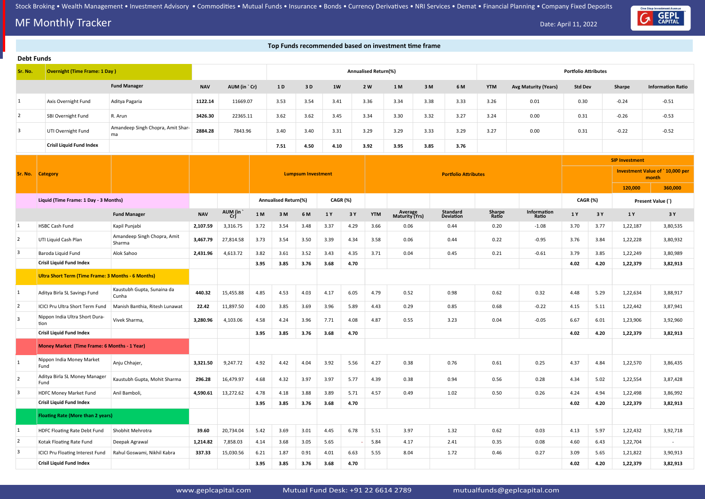## **MF Monthly Tracker** Date: April 11, 2022

One Stop Investment Avenue

| Top Funds recommended based on investment time frame |                                                    |                                         |            |              |       |                             |                           |                 |      |                             |                           |      |                              |                 |                             |                             |      |                       |                                          |
|------------------------------------------------------|----------------------------------------------------|-----------------------------------------|------------|--------------|-------|-----------------------------|---------------------------|-----------------|------|-----------------------------|---------------------------|------|------------------------------|-----------------|-----------------------------|-----------------------------|------|-----------------------|------------------------------------------|
| <b>Debt Funds</b>                                    |                                                    |                                         |            |              |       |                             |                           |                 |      |                             |                           |      |                              |                 |                             |                             |      |                       |                                          |
| Sr. No.                                              | <b>Overnight (Time Frame: 1 Day)</b>               |                                         |            |              |       |                             |                           |                 |      | <b>Annualised Return(%)</b> |                           |      |                              |                 |                             | <b>Portfolio Attributes</b> |      |                       |                                          |
|                                                      |                                                    | <b>Fund Manager</b>                     | <b>NAV</b> | AUM (in `Cr) |       | 1 D                         | 3D                        | 1W              |      | 2 W                         | 1 M                       | 3M   | 6 M                          | <b>YTM</b>      | <b>Avg Maturity (Years)</b> | <b>Std Dev</b>              |      | Sharpe                | <b>Information Ratio</b>                 |
| $\vert$ 1                                            | Axis Overnight Fund                                | Aditya Pagaria                          | 1122.14    | 11669.07     |       | 3.53                        | 3.54                      | 3.41            |      | 3.36                        | 3.34                      | 3.38 | 3.33                         | 3.26            | 0.01                        | 0.30                        |      | $-0.24$               | $-0.51$                                  |
| 2                                                    | SBI Overnight Fund                                 | R. Arun                                 | 3426.30    | 22365.11     |       | 3.62                        | 3.62                      | 3.45            |      | 3.34                        | 3.30                      | 3.32 | 3.27                         | 3.24            | 0.00                        | 0.31                        |      | $-0.26$               | $-0.53$                                  |
| $\overline{3}$                                       | UTI Overnight Fund                                 | Amandeep Singh Chopra, Amit Shar-<br>ma | 2884.28    | 7843.96      |       | 3.40                        | 3.40                      | 3.31            |      | 3.29                        | 3.29                      | 3.33 | 3.29                         | 3.27            | 0.00                        | 0.31                        |      | $-0.22$               | $-0.52$                                  |
|                                                      | <b>Crisil Liquid Fund Index</b>                    |                                         |            |              |       | 7.51                        | 4.50                      | 4.10            |      | 3.92                        | 3.95                      | 3.85 | 3.76                         |                 |                             |                             |      |                       |                                          |
|                                                      |                                                    |                                         |            |              |       |                             |                           |                 |      |                             |                           |      |                              |                 |                             |                             |      | <b>SIP Investment</b> |                                          |
| Sr. No.                                              | <b>Category</b>                                    |                                         |            |              |       |                             | <b>Lumpsum Investment</b> |                 |      |                             |                           |      | <b>Portfolio Attributes</b>  |                 |                             |                             |      |                       | Investment Value of `10,000 per<br>month |
|                                                      |                                                    |                                         |            |              |       |                             |                           |                 |      |                             |                           |      |                              |                 |                             |                             |      | 120,000               | 360,000                                  |
|                                                      | Liquid (Time Frame: 1 Day - 3 Months)              |                                         |            |              |       | <b>Annualised Return(%)</b> |                           | <b>CAGR (%)</b> |      |                             |                           |      |                              |                 |                             | CAGR (%)                    |      |                       | Present Value (`)                        |
|                                                      |                                                    | <b>Fund Manager</b>                     | <b>NAV</b> | AUM (in      | $1 M$ | 3M                          | 6 M                       | 1 Y             | 3 Y  | <b>YTM</b>                  | Average<br>Maturity (Yrs) |      | <b>Standard</b><br>Deviation | Sharpe<br>Ratio | Information<br>Ratio        | 1 Y                         | 3 Y  | 1 Y                   | 3 Y                                      |
| 1                                                    | <b>HSBC Cash Fund</b>                              | Kapil Punjabi                           | 2,107.59   | 3,316.75     | 3.72  | 3.54                        | 3.48                      | 3.37            | 4.29 | 3.66                        | 0.06                      |      | 0.44                         | 0.20            | $-1.08$                     | 3.70                        | 3.77 | 1,22,187              | 3,80,535                                 |
| $\overline{2}$                                       | UTI Liquid Cash Plan                               | Amandeep Singh Chopra, Amit<br>Sharma   | 3,467.79   | 27,814.58    | 3.73  | 3.54                        | 3.50                      | 3.39            | 4.34 | 3.58                        | 0.06                      |      | 0.44                         | 0.22            | $-0.95$                     | 3.76                        | 3.84 | 1,22,228              | 3,80,932                                 |
| $\mathbf{3}$                                         | Baroda Liquid Fund                                 | Alok Sahoo                              | 2,431.96   | 4,613.72     | 3.82  | 3.61                        | 3.52                      | 3.43            | 4.35 | 3.71                        | 0.04                      |      | 0.45                         | 0.21            | $-0.61$                     | 3.79                        | 3.85 | 1,22,249              | 3,80,989                                 |
|                                                      | <b>Crisil Liquid Fund Index</b>                    |                                         |            |              | 3.95  | 3.85                        | 3.76                      | 3.68            | 4.70 |                             |                           |      |                              |                 |                             | 4.02                        | 4.20 | 1,22,379              | 3,82,913                                 |
|                                                      | Ultra Short Term (Time Frame: 3 Months - 6 Months) |                                         |            |              |       |                             |                           |                 |      |                             |                           |      |                              |                 |                             |                             |      |                       |                                          |
| $\mathbf{1}$                                         | Aditya Birla SL Savings Fund                       | Kaustubh Gupta, Sunaina da<br>Cunha     | 440.32     | 15,455.88    | 4.85  | 4.53                        | 4.03                      | 4.17            | 6.05 | 4.79                        | 0.52                      |      | 0.98                         | 0.62            | 0.32                        | 4.48                        | 5.29 | 1,22,634              | 3,88,917                                 |
| 2                                                    | ICICI Pru Ultra Short Term Fund                    | Manish Banthia, Ritesh Lunawat          | 22.42      | 11,897.50    | 4.00  | 3.85                        | 3.69                      | 3.96            | 5.89 | 4.43                        | 0.29                      |      | 0.85                         | 0.68            | $-0.22$                     | 4.15                        | 5.11 | 1,22,442              | 3,87,941                                 |
| $\overline{3}$                                       | Nippon India Ultra Short Dura-<br>tion             | Vivek Sharma,                           | 3,280.96   | 4,103.06     | 4.58  | 4.24                        | 3.96                      | 7.71            | 4.08 | 4.87                        | 0.55                      |      | 3.23                         | 0.04            | $-0.05$                     | 6.67                        | 6.01 | 1,23,906              | 3,92,960                                 |
|                                                      | <b>Crisil Liquid Fund Index</b>                    |                                         |            |              | 3.95  | 3.85                        | 3.76                      | 3.68            | 4.70 |                             |                           |      |                              |                 |                             | 4.02                        | 4.20 | 1,22,379              | 3,82,913                                 |
|                                                      | Money Market (Time Frame: 6 Months - 1 Year)       |                                         |            |              |       |                             |                           |                 |      |                             |                           |      |                              |                 |                             |                             |      |                       |                                          |
| $\mathbf{1}$                                         | Nippon India Money Market<br>Fund                  | Anju Chhajer,                           | 3,321.50   | 9,247.72     | 4.92  | 4.42                        | 4.04                      | 3.92            | 5.56 | 4.27                        | 0.38                      |      | 0.76                         | 0.61            | 0.25                        | 4.37                        | 4.84 | 1,22,570              | 3,86,435                                 |
| $\overline{2}$                                       | Aditya Birla SL Money Manager<br>Fund              | Kaustubh Gupta, Mohit Sharma            | 296.28     | 16,479.97    | 4.68  | 4.32                        | 3.97                      | 3.97            | 5.77 | 4.39                        | 0.38                      |      | 0.94                         | 0.56            | 0.28                        | 4.34                        | 5.02 | 1,22,554              | 3,87,428                                 |
| $\mathbf{3}$                                         | <b>HDFC Money Market Fund</b>                      | Anil Bamboli,                           | 4,590.61   | 13,272.62    | 4.78  | 4.18                        | 3.88                      | 3.89            | 5.71 | 4.57                        | 0.49                      |      | 1.02                         | 0.50            | 0.26                        | 4.24                        | 4.94 | 1,22,498              | 3,86,992                                 |
|                                                      | <b>Crisil Liquid Fund Index</b>                    |                                         |            |              | 3.95  | 3.85                        | 3.76                      | 3.68            | 4.70 |                             |                           |      |                              |                 |                             | 4.02                        | 4.20 | 1,22,379              | 3,82,913                                 |
|                                                      | <b>Floating Rate (More than 2 years)</b>           |                                         |            |              |       |                             |                           |                 |      |                             |                           |      |                              |                 |                             |                             |      |                       |                                          |
| $\mathbf{1}$                                         | HDFC Floating Rate Debt Fund                       | Shobhit Mehrotra                        | 39.60      | 20,734.04    | 5.42  | 3.69                        | 3.01                      | 4.45            | 6.78 | 5.51                        | 3.97                      |      | 1.32                         | 0.62            | 0.03                        | 4.13                        | 5.97 | 1,22,432              | 3,92,718                                 |
| $\overline{2}$                                       | Kotak Floating Rate Fund                           | Deepak Agrawal                          | 1,214.82   | 7,858.03     | 4.14  | 3.68                        | 3.05                      | 5.65            |      | 5.84                        | 4.17                      |      | 2.41                         | 0.35            | 0.08                        | 4.60                        | 6.43 | 1,22,704              | $\overline{\phantom{a}}$                 |
| $\mathbf{3}$                                         | <b>ICICI Pru Floating Interest Fund</b>            | Rahul Goswami, Nikhil Kabra             | 337.33     | 15,030.56    | 6.21  | 1.87                        | 0.91                      | 4.01            | 6.63 | 5.55                        | 8.04                      |      | 1.72                         | 0.46            | 0.27                        | 3.09                        | 5.65 | 1,21,822              | 3,90,913                                 |
|                                                      | <b>Crisil Liquid Fund Index</b>                    |                                         |            |              | 3.95  | 3.85                        | 3.76                      | 3.68            | 4.70 |                             |                           |      |                              |                 |                             | 4.02                        | 4.20 | 1,22,379              | 3,82,913                                 |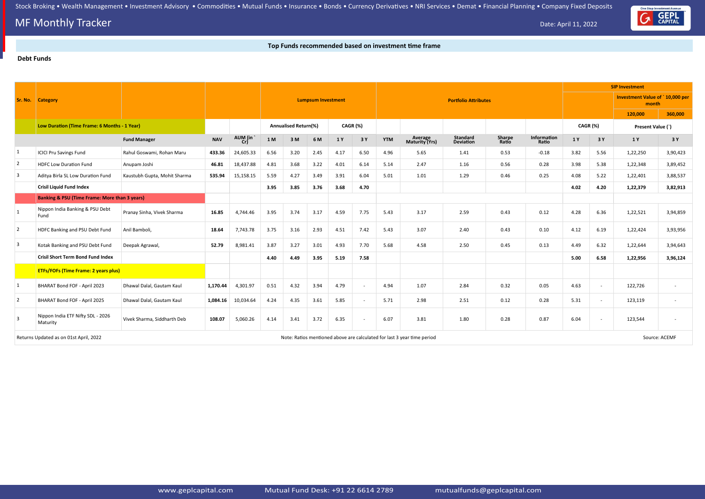### **MF Monthly Tracker** Date: April 11, 2022

#### **Top Funds recommended based on investment time frame**

#### **Debt Funds**



|                 |                                                                                                                   |                              |            |           |             |                             |                           |          |                          |            |                           |                             |                 | <b>SIP Investment</b> |          |               |                                          |          |
|-----------------|-------------------------------------------------------------------------------------------------------------------|------------------------------|------------|-----------|-------------|-----------------------------|---------------------------|----------|--------------------------|------------|---------------------------|-----------------------------|-----------------|-----------------------|----------|---------------|------------------------------------------|----------|
|                 | <b>Sr. No. Category</b>                                                                                           |                              |            |           |             |                             | <b>Lumpsum Investment</b> |          |                          |            |                           | <b>Portfolio Attributes</b> |                 |                       |          |               | Investment Value of `10,000 per<br>month |          |
|                 |                                                                                                                   |                              |            |           |             |                             |                           |          |                          |            |                           |                             |                 |                       |          |               | 120,000                                  | 360,000  |
|                 | Low Duration (Time Frame: 6 Months - 1 Year)                                                                      |                              |            |           |             | <b>Annualised Return(%)</b> |                           | CAGR (%) |                          |            |                           |                             |                 |                       | CAGR (%) |               | Present Value (`)                        |          |
|                 |                                                                                                                   | <b>Fund Manager</b>          | <b>NAV</b> | AUM (in ` | $1\,\rm{M}$ | 3M                          | 6 M                       | 1 Y      | 3 Y                      | <b>YTM</b> | Average<br>Maturity (Yrs) | Standard<br>Deviation       | Sharpe<br>Ratio | Information<br>Ratio  | 1 Y      | 3 Y           | 1 Y                                      | 3Y       |
| $\vert 1 \vert$ | <b>ICICI Pru Savings Fund</b>                                                                                     | Rahul Goswami, Rohan Maru    | 433.36     | 24,605.33 | 6.56        | 3.20                        | 2.45                      | 4.17     | 6.50                     | 4.96       | 5.65                      | 1.41                        | 0.53            | $-0.18$               | 3.82     | 5.56          | 1,22,250                                 | 3,90,423 |
| $\overline{2}$  | <b>HDFC Low Duration Fund</b>                                                                                     | Anupam Joshi                 | 46.81      | 18,437.88 | 4.81        | 3.68                        | 3.22                      | 4.01     | 6.14                     | 5.14       | 2.47                      | 1.16                        | 0.56            | 0.28                  | 3.98     | 5.38          | 1,22,348                                 | 3,89,452 |
| $\vert 3 \vert$ | Aditya Birla SL Low Duration Fund                                                                                 | Kaustubh Gupta, Mohit Sharma | 535.94     | 15,158.15 | 5.59        | 4.27                        | 3.49                      | 3.91     | 6.04                     | 5.01       | 1.01                      | 1.29                        | 0.46            | 0.25                  | 4.08     | 5.22          | 1,22,401                                 | 3,88,537 |
|                 | <b>Crisil Liquid Fund Index</b>                                                                                   |                              |            |           | 3.95        | 3.85                        | 3.76                      | 3.68     | 4.70                     |            |                           |                             |                 |                       | 4.02     | 4.20          | 1,22,379                                 | 3,82,913 |
|                 | <b>Banking &amp; PSU (Time Frame: More than 3 years)</b>                                                          |                              |            |           |             |                             |                           |          |                          |            |                           |                             |                 |                       |          |               |                                          |          |
| 1               | Nippon India Banking & PSU Debt<br>Fund                                                                           | Pranay Sinha, Vivek Sharma   | 16.85      | 4,744.46  | 3.95        | 3.74                        | 3.17                      | 4.59     | 7.75                     | 5.43       | 3.17                      | 2.59                        | 0.43            | 0.12                  | 4.28     | 6.36          | 1,22,521                                 | 3,94,859 |
| $\overline{2}$  | HDFC Banking and PSU Debt Fund                                                                                    | Anil Bamboli,                | 18.64      | 7,743.78  | 3.75        | 3.16                        | 2.93                      | 4.51     | 7.42                     | 5.43       | 3.07                      | 2.40                        | 0.43            | 0.10                  | 4.12     | 6.19          | 1,22,424                                 | 3,93,956 |
| $\vert 3 \vert$ | Kotak Banking and PSU Debt Fund                                                                                   | Deepak Agrawal,              | 52.79      | 8,981.41  | 3.87        | 3.27                        | 3.01                      | 4.93     | 7.70                     | 5.68       | 4.58                      | 2.50                        | 0.45            | 0.13                  | 4.49     | 6.32          | 1,22,644                                 | 3,94,643 |
|                 | <b>Crisil Short Term Bond Fund Index</b>                                                                          |                              |            |           | 4.40        | 4.49                        | 3.95                      | 5.19     | 7.58                     |            |                           |                             |                 |                       | 5.00     | 6.58          | 1,22,956                                 | 3,96,124 |
|                 | <b>ETFs/FOFs (Time Frame: 2 years plus)</b>                                                                       |                              |            |           |             |                             |                           |          |                          |            |                           |                             |                 |                       |          |               |                                          |          |
| $\vert 1 \vert$ | BHARAT Bond FOF - April 2023                                                                                      | Dhawal Dalal, Gautam Kaul    | 1,170.44   | 4,301.97  | 0.51        | 4.32                        | 3.94                      | 4.79     | $\sim$                   | 4.94       | 1.07                      | 2.84                        | 0.32            | 0.05                  | 4.63     | $\sim$        | 122,726                                  |          |
| $\overline{2}$  | BHARAT Bond FOF - April 2025                                                                                      | Dhawal Dalal, Gautam Kaul    | 1,084.16   | 10,034.64 | 4.24        | 4.35                        | 3.61                      | 5.85     | $\overline{\phantom{a}}$ | 5.71       | 2.98                      | 2.51                        | 0.12            | 0.28                  | 5.31     |               | 123,119                                  |          |
| $\overline{3}$  | Nippon India ETF Nifty SDL - 2026<br>Maturity                                                                     | Vivek Sharma, Siddharth Deb  | 108.07     | 5,060.26  | 4.14        | 3.41                        | 3.72                      | 6.35     | $\sim$                   | 6.07       | 3.81                      | 1.80                        | 0.28            | 0.87                  | 6.04     |               | 123,544                                  |          |
|                 | Note: Ratios mentioned above are calculated for last 3 year time period<br>Returns Updated as on 01st April, 2022 |                              |            |           |             |                             |                           |          |                          |            |                           |                             |                 |                       |          | Source: ACEMF |                                          |          |